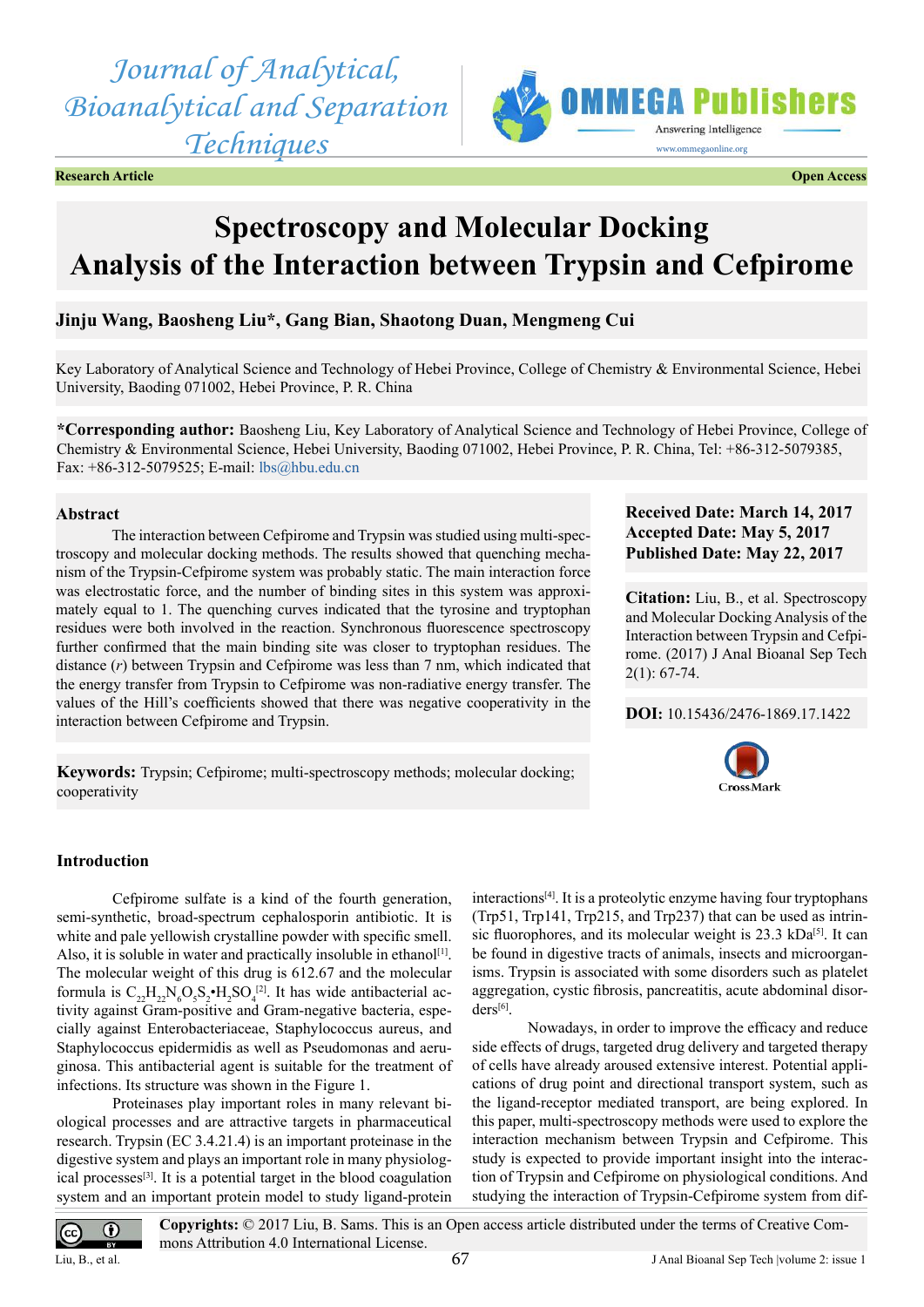*Journal of Analytical, Bioanalytical and Separation Techniques*



**Research Article Open Access**

# **Spectroscopy and Molecular Docking Analysis of the Interaction between Trypsin and Cefpirome**

# **Jinju Wang, Baosheng Liu\*, Gang Bian, Shaotong Duan, Mengmeng Cui**

Key Laboratory of Analytical Science and Technology of Hebei Province, College of Chemistry & Environmental Science, Hebei University, Baoding 071002, Hebei Province, P. R. China

**\*Corresponding author:** Baosheng Liu, Key Laboratory of Analytical Science and Technology of Hebei Province, College of Chemistry & Environmental Science, Hebei University, Baoding 071002, Hebei Province, P. R. China, Tel: +86-312-5079385, Fax: +86-312-5079525; E-mail: [lbs@hbu.edu.cn](mailto:lbs@hbu.edu.cn)

# **Abstract**

The interaction between Cefpirome and Trypsin was studied using multi-spectroscopy and molecular docking methods. The results showed that quenching mechanism of the Trypsin-Cefpirome system was probably static. The main interaction force was electrostatic force, and the number of binding sites in this system was approximately equal to 1. The quenching curves indicated that the tyrosine and tryptophan residues were both involved in the reaction. Synchronous fluorescence spectroscopy further confirmed that the main binding site was closer to tryptophan residues. The distance (*r*) between Trypsin and Cefpirome was less than 7 nm, which indicated that the energy transfer from Trypsin to Cefpirome was non-radiative energy transfer. The values of the Hill's coefficients showed that there was negative cooperativity in the interaction between Cefpirome and Trypsin.

**Keywords:** Trypsin; Cefpirome; multi-spectroscopy methods; molecular docking; cooperativity

# **Received Date: March 14, 2017 Accepted Date: May 5, 2017 Published Date: May 22, 2017**

**Citation:** Liu, B., et al. Spectroscopy and Molecular Docking Analysis of the Interaction between Trypsin and Cefpirome. (2017) J Anal Bioanal Sep Tech  $2(1): 67-74.$ 

# **DOI:** [10.15436/2476-1869.17.](http://www.dx.doi.org/10.15436/2476-1869-17-1422
)1422



# **Introduction**

Cefpirome sulfate is a kind of the fourth generation, semi-synthetic, broad-spectrum cephalosporin antibiotic. It is white and pale yellowish crystalline powder with specific smell. Also, it is soluble in water and practically insoluble in ethanol<sup>[1]</sup>. The molecular weight of this drug is 612.67 and the molecular formula is  $C_{22}H_{22}N_6O_5S_2 \cdot H_2SO_4^{[2]}$ . It has wide antibacterial activity against Gram-positive and Gram-negative bacteria, especially against Enterobacteriaceae, Staphylococcus aureus, and Staphylococcus epidermidis as well as Pseudomonas and aeruginosa. This antibacterial agent is suitable for the treatment of infections. Its structure was shown in the Figure 1.

Proteinases play important roles in many relevant biological processes and are attractive targets in pharmaceutical research. Trypsin (EC 3.4.21.4) is an important proteinase in the digestive system and plays an important role in many physiological processes<sup>[3]</sup>. It is a potential target in the blood coagulation system and an important protein model to study ligand-protein  $interactions<sup>[4]</sup>$ . It is a proteolytic enzyme having four tryptophans (Trp51, Trp141, Trp215, and Trp237) that can be used as intrinsic fluorophores, and its molecular weight is 23.3 kDa<sup>[5]</sup>. It can be found in digestive tracts of animals, insects and microorganisms. Trypsin is associated with some disorders such as platelet aggregation, cystic fibrosis, pancreatitis, acute abdominal disor-ders[\[6\].](#page-6-5)

Nowadays, in order to improve the efficacy and reduce side effects of drugs, targeted drug delivery and targeted therapy of cells have already aroused extensive interest. Potential applications of drug point and directional transport system, such as the ligand-receptor mediated transport, are being explored. In this paper, multi-spectroscopy methods were used to explore the interaction mechanism between Trypsin and Cefpirome. This study is expected to provide important insight into the interaction of Trypsin and Cefpirome on physiological conditions. And studying the interaction of Trypsin-Cefpirome system from dif-

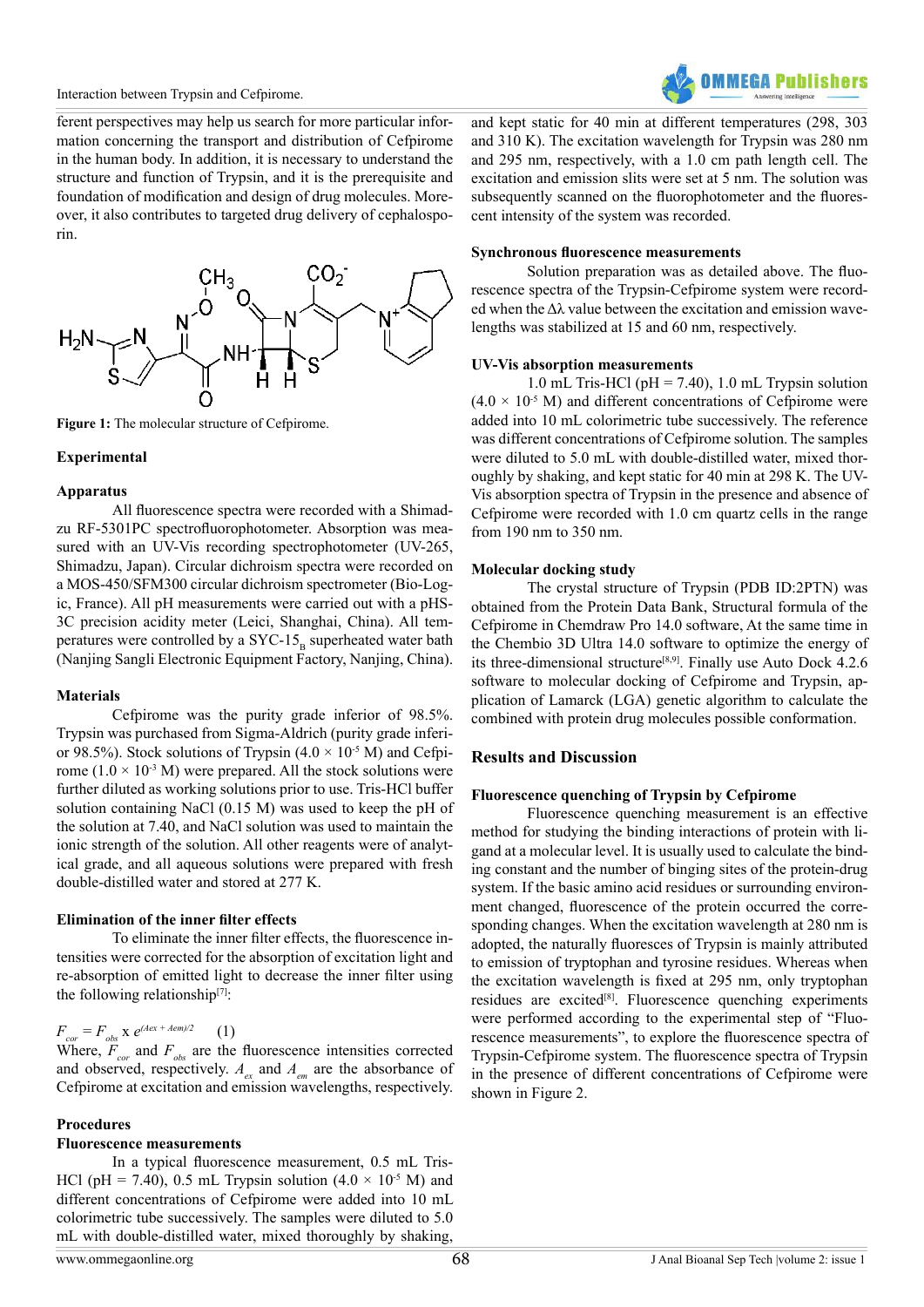

ferent perspectives may help us search for more particular information concerning the transport and distribution of Cefpirome in the human body. In addition, it is necessary to understand the structure and function of Trypsin, and it is the prerequisite and foundation of modification and design of drug molecules. Moreover, it also contributes to targeted drug delivery of cephalosporin.



Figure 1: The molecular structure of Cefpirome.

## **Experimental**

## **Apparatus**

All fluorescence spectra were recorded with a Shimadzu RF-5301PC spectrofluorophotometer. Absorption was measured with an UV-Vis recording spectrophotometer (UV-265, Shimadzu, Japan). Circular dichroism spectra were recorded on a MOS-450/SFM300 circular dichroism spectrometer (Bio-Logic, France). All pH measurements were carried out with a pHS-3C precision acidity meter (Leici, Shanghai, China). All temperatures were controlled by a SYC-15 $_{\rm B}$  superheated water bath (Nanjing Sangli Electronic Equipment Factory, Nanjing, China).

## **Materials**

Cefpirome was the purity grade inferior of 98.5%. Trypsin was purchased from Sigma-Aldrich (purity grade inferior 98.5%). Stock solutions of Trypsin  $(4.0 \times 10^{-5} \text{ M})$  and Cefpirome ( $1.0 \times 10^{-3}$  M) were prepared. All the stock solutions were further diluted as working solutions prior to use. Tris-HCl buffer solution containing NaCl (0.15 M) was used to keep the pH of the solution at 7.40, and NaCl solution was used to maintain the ionic strength of the solution. All other reagents were of analytical grade, and all aqueous solutions were prepared with fresh double-distilled water and stored at 277 K.

# **Elimination of the inner filter effects**

To eliminate the inner filter effects, the fluorescence intensities were corrected for the absorption of excitation light and re-absorption of emitted light to decrease the inner filter using the following relationship $[7]$ :

# $F_{cor} = F_{obs} \times e^{(Aex + Aem)/2}$  (1)

Where,  $F_{cor}$  and  $F_{obs}$  are the fluorescence intensities corrected and observed, respectively.  $A_{ex}$  and  $A_{em}$  are the absorbance of Cefpirome at excitation and emission wavelengths, respectively.

## **Procedures**

## **Fluorescence measurements**

In a typical fluorescence measurement, 0.5 mL Tris-HCl (pH = 7.40), 0.5 mL Trypsin solution  $(4.0 \times 10^{-5}$  M) and different concentrations of Cefpirome were added into 10 mL colorimetric tube successively. The samples were diluted to 5.0 mL with double-distilled water, mixed thoroughly by shaking,

and kept static for 40 min at different temperatures (298, 303 and 310 K). The excitation wavelength for Trypsin was 280 nm and 295 nm, respectively, with a 1.0 cm path length cell. The excitation and emission slits were set at 5 nm. The solution was subsequently scanned on the fluorophotometer and the fluorescent intensity of the system was recorded.

## **Synchronous fluorescence measurements**

Solution preparation was as detailed above. The fluorescence spectra of the Trypsin-Cefpirome system were recorded when the  $\Delta\lambda$  value between the excitation and emission wavelengths was stabilized at 15 and 60 nm, respectively.

## **UV-Vis absorption measurements**

1.0 mL Tris-HCl ( $pH = 7.40$ ), 1.0 mL Trypsin solution  $(4.0 \times 10^{-5} \text{ M})$  and different concentrations of Cefpirome were added into 10 mL colorimetric tube successively. The reference was different concentrations of Cefpirome solution. The samples were diluted to 5.0 mL with double-distilled water, mixed thoroughly by shaking, and kept static for 40 min at 298 K. The UV-Vis absorption spectra of Trypsin in the presence and absence of Cefpirome were recorded with 1.0 cm quartz cells in the range from 190 nm to 350 nm.

## **Molecular docking study**

The crystal structure of Trypsin (PDB ID:2PTN) was obtained from the Protein Data Bank, Structural formula of the Cefpirome in Chemdraw Pro 14.0 software, At the same time in the Chembio 3D Ultra 14.0 software to optimize the energy of its three-dimensional structure<sup>[8,9]</sup>. Finally use Auto Dock 4.2.6 software to molecular docking of Cefpirome and Trypsin, application of Lamarck (LGA) genetic algorithm to calculate the combined with protein drug molecules possible conformation.

# **Results and Discussion**

## **Fluorescence quenching of Trypsin by Cefpirome**

Fluorescence quenching measurement is an effective method for studying the binding interactions of protein with ligand at a molecular level. It is usually used to calculate the binding constant and the number of binging sites of the protein-drug system. If the basic amino acid residues or surrounding environment changed, fluorescence of the protein occurred the corresponding changes. When the excitation wavelength at 280 nm is adopted, the naturally fluoresces of Trypsin is mainly attributed to emission of tryptophan and tyrosine residues. Whereas when the excitation wavelength is fixed at 295 nm, only tryptophan residues are excited<sup>[8]</sup>. Fluorescence quenching experiments were performed according to the experimental step of "Fluorescence measurements", to explore the fluorescence spectra of Trypsin-Cefpirome system. The fluorescence spectra of Trypsin in the presence of different concentrations of Cefpirome were shown in Figure 2.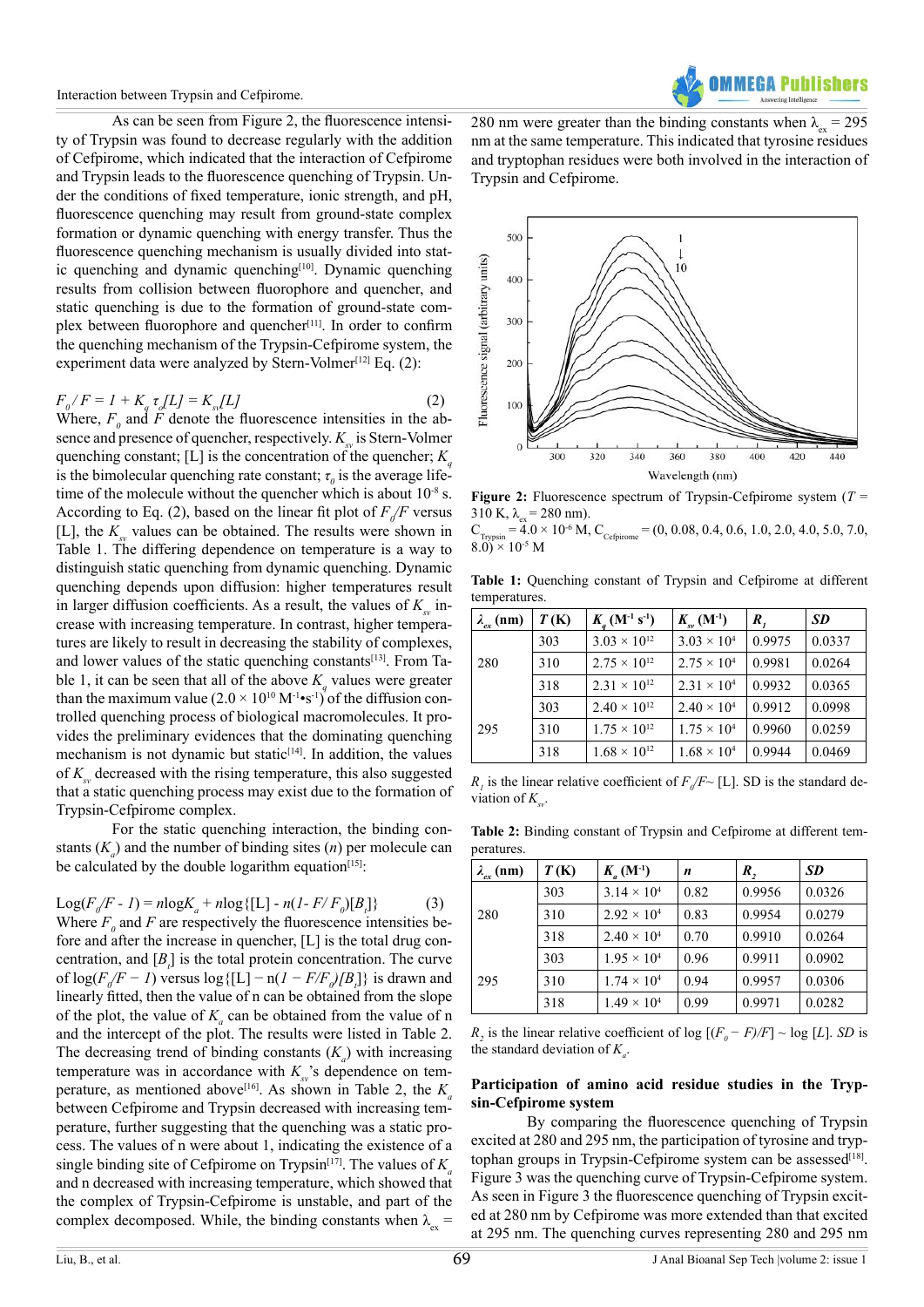As can be seen from Figure 2, the fluorescence intensity of Trypsin was found to decrease regularly with the addition of Cefpirome, which indicated that the interaction of Cefpirome and Trypsin leads to the fluorescence quenching of Trypsin. Under the conditions of fixed temperature, ionic strength, and pH, fluorescence quenching may result from ground-state complex formation or dynamic quenching with energy transfer. Thus the fluorescence quenching mechanism is usually divided into stat-ic quenching and dynamic quenching<sup>[\[10\]](#page-6-8)</sup>. Dynamic quenching results from collision between fluorophore and quencher, and static quenching is due to the formation of ground-state com-plex between fluorophore and quencher<sup>[\[11\]](#page-6-9)</sup>. In order to confirm the quenching mechanism of the Trypsin-Cefpirome system, the experiment data were analyzed by Stern-Volmer<sup>[12]</sup> Eq.  $(2)$ :

$$
F_{\rho}/F = I + K_{\rho} \tau_{\rho} [L] = K_{\rho} [L] \tag{2}
$$

Where,  $F_0$  and  $F$  denote the fluorescence intensities in the absence and presence of quencher, respectively.  $K_{\mu}$  is Stern-Volmer quenching constant; [L] is the concentration of the quencher;  $K_a$ is the bimolecular quenching rate constant;  $\tau$ <sub>*0*</sub> is the average lifetime of the molecule without the quencher which is about  $10^{-8}$  s. According to Eq. (2), based on the linear fit plot of  $F_{\phi}/F$  versus [L], the  $K_{sv}$  values can be obtained. The results were shown in Table 1. The differing dependence on temperature is a way to distinguish static quenching from dynamic quenching. Dynamic quenching depends upon diffusion: higher temperatures result in larger diffusion coefficients. As a result, the values of  $K_{\mu}$  increase with increasing temperature. In contrast, higher temperatures are likely to result in decreasing the stability of complexes, and lower values of the static quenching constants<sup>[13]</sup>. From Table 1, it can be seen that all of the above  $K_q$  values were greater than the maximum value  $(2.0 \times 10^{10} \,\mathrm{M}^{-1} \cdot \mathrm{s}^{-1})^7$  of the diffusion controlled quenching process of biological macromolecules. It provides the preliminary evidences that the dominating quenching mechanism is not dynamic but static<sup>[14]</sup>. In addition, the values of  $K_{\alpha}$  decreased with the rising temperature, this also suggested that a static quenching process may exist due to the formation of Trypsin-Cefpirome complex.

For the static quenching interaction, the binding constants  $(K_a)$  and the number of binding sites  $(n)$  per molecule can be calculated by the double logarithm equation $[15]$ :

Log(
$$
F_0/F - 1
$$
) = nlog $K_a$  + nlog{[L] - n( $I - F/F_0$ )[ $B_i$ ]} (3)  
Where  $F_0$  and  $F$  are respectively the fluorescence intensities be-  
fore and after the increase in quencher, [L] is the total drug con-  
centration, and [ $B_i$ ] is the total protein concentration. The curve  
of log( $F_0/F - 1$ ) versus log{[L] - n( $I - F/F_0/B_i$ ]} is drawn and  
linearly fitted, then the value of n can be obtained from the slope  
of the plot, the value of  $K_a$  can be obtained from the value of n  
and the intercept of the plot. The results were listed in Table 2.  
The decreasing trend of binding constants ( $K_a$ ) with increasing  
temperature was in accordance with  $K_{ss}$ 's dependence on tem-  
perature, as mentioned above<sup>[16]</sup>. As shown in Table 2, the  $K_a$   
between Cefpirome and Trypsin decreased with increasing tem-  
perature, further suggesting that the quenching was a static pro-  
cess. The values of n were about 1, indicating the existence of a  
single binding site of Cefpirome on Trypsin<sup>[17]</sup>. The values of  $K_a$   
and n decreased with increasing temperature, which showed that  
the complex of Trypsin-Cefpirome is unstable, and part of the  
complex decomposed. While, the binding constants when  $\lambda_{ex}$  =

280 nm were greater than the binding constants when  $\lambda_{\text{av}} = 295$ nm at the same temperature. This indicated that tyrosine residues and tryptophan residues were both involved in the interaction of Trypsin and Cefpirome.



**Figure 2:** Fluorescence spectrum of Trypsin-Cefpirome system (*T* = 310 K,  $\lambda_{\rm ex} = 280$  nm).

 $C_{Trypsin} = 4.0 \times 10^{-6}$  M,  $C_{Cefpirome} = (0, 0.08, 0.4, 0.6, 1.0, 2.0, 4.0, 5.0, 7.0,$  $(8.0) \times 10^{-5}$  M

**Table 1:** Quenching constant of Trypsin and Cefpirome at different temperatures.

| $\lambda_{ex}$ (nm) | T(K) | $K_a$ (M <sup>-1</sup> s <sup>-1</sup> ) | $K_{\rm sv}^{\rm (M^{-1})}$ | $\boldsymbol{R}_{I}$ | <b>SD</b> |
|---------------------|------|------------------------------------------|-----------------------------|----------------------|-----------|
| 280                 | 303  | $3.03 \times 10^{12}$                    | $3.03 \times 10^{4}$        | 0.9975               | 0.0337    |
|                     | 310  | $2.75 \times 10^{12}$                    | $2.75 \times 10^{4}$        | 0.9981               | 0.0264    |
|                     | 318  | $2.31 \times 10^{12}$                    | $2.31 \times 10^{4}$        | 0.9932               | 0.0365    |
| 295                 | 303  | $2.40 \times 10^{12}$                    | $2.40 \times 10^{4}$        | 0.9912               | 0.0998    |
|                     | 310  | $1.75 \times 10^{12}$                    | $1.75 \times 10^{4}$        | 0.9960               | 0.0259    |
|                     | 318  | $1.68 \times 10^{12}$                    | $1.68 \times 10^{4}$        | 0.9944               | 0.0469    |

 $R_i$  is the linear relative coefficient of  $F_0/F$  [L]. SD is the standard deviation of  $K_{\infty}$ .

**Table 2:** Binding constant of Trypsin and Cefpirome at different temperatures.

| $\lambda_{ex}$ (nm) | T(K) | $K_a(M^{-1})$        | n    | R,     | <b>SD</b> |
|---------------------|------|----------------------|------|--------|-----------|
| 280                 | 303  | $3.14 \times 10^{4}$ | 0.82 | 0.9956 | 0.0326    |
|                     | 310  | $2.92 \times 10^{4}$ | 0.83 | 0.9954 | 0.0279    |
|                     | 318  | $2.40 \times 10^{4}$ | 0.70 | 0.9910 | 0.0264    |
| 295                 | 303  | $1.95 \times 10^{4}$ | 0.96 | 0.9911 | 0.0902    |
|                     | 310  | $1.74 \times 10^{4}$ | 0.94 | 0.9957 | 0.0306    |
|                     | 318  | $1.49 \times 10^{4}$ | 0.99 | 0.9971 | 0.0282    |

*R*<sub>2</sub> is the linear relative coefficient of log  $[(F_0 - F)/F] \sim \log [L]$ . *SD* is the standard deviation of  $K_a$ .

## **Participation of amino acid residue studies in the Trypsin-Cefpirome system**

By comparing the fluorescence quenching of Trypsin excited at 280 and 295 nm, the participation of tyrosine and tryptophan groups in Trypsin-Cefpirome system can be assessed<sup>[18]</sup>. Figure 3 was the quenching curve of Trypsin-Cefpirome system. As seen in Figure 3 the fluorescence quenching of Trypsin excited at 280 nm by Cefpirome was more extended than that excited at 295 nm. The quenching curves representing 280 and 295 nm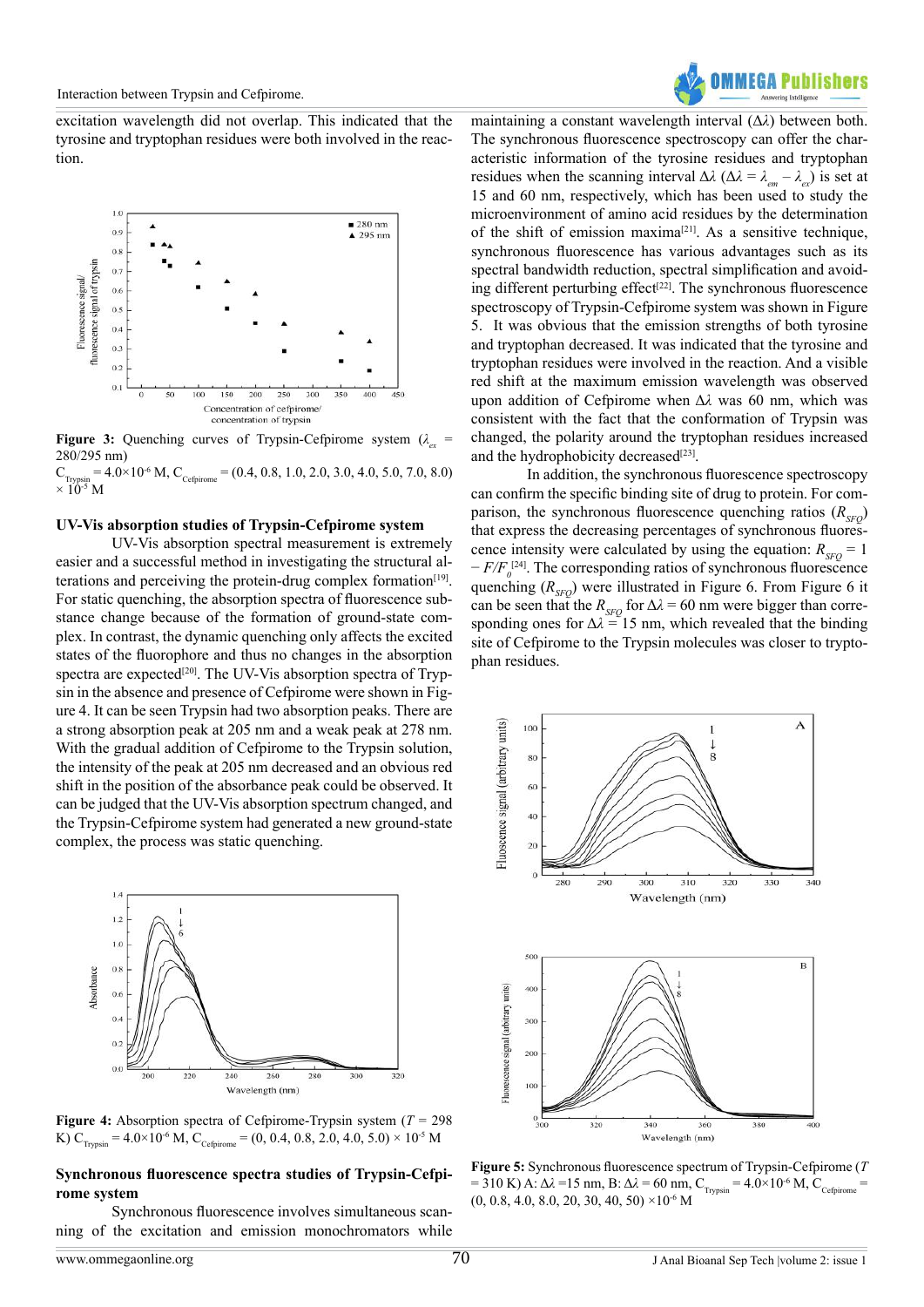**OMMFGA Publishers** 

excitation wavelength did not overlap. This indicated that the tyrosine and tryptophan residues were both involved in the reaction.



**Figure 3:** Quenching curves of Trypsin-Cefpirome system  $(\lambda_{\alpha}$  = 280/295 nm)

 $C_{Trypsin} = 4.0 \times 10^{-6}$  M,  $C_{Cefpirome} = (0.4, 0.8, 1.0, 2.0, 3.0, 4.0, 5.0, 7.0, 8.0)$  $\times$  10<sup>-5</sup> M

#### **UV-Vis absorption studies of Trypsin-Cefpirome system**

UV-Vis absorption spectral measurement is extremely easier and a successful method in investigating the structural alterations and perceiving the protein-drug complex formation $[19]$ . For static quenching, the absorption spectra of fluorescence substance change because of the formation of ground-state complex. In contrast, the dynamic quenching only affects the excited states of the fluorophore and thus no changes in the absorption spectra are expected<sup>[20]</sup>. The UV-Vis absorption spectra of Trypsin in the absence and presence of Cefpirome were shown in Figure 4. It can be seen Trypsin had two absorption peaks. There are a strong absorption peak at 205 nm and a weak peak at 278 nm. With the gradual addition of Cefpirome to the Trypsin solution, the intensity of the peak at 205 nm decreased and an obvious red shift in the position of the absorbance peak could be observed. It can be judged that the UV-Vis absorption spectrum changed, and the Trypsin-Cefpirome system had generated a new ground-state complex, the process was static quenching.



**Figure 4:** Absorption spectra of Cefpirome-Trypsin system ( $T = 298$ ) K)  $C_{Tryssin} = 4.0 \times 10^{-6}$  M,  $C_{Cefpirome} = (0, 0.4, 0.8, 2.0, 4.0, 5.0) \times 10^{-5}$  M

## **Synchronous fluorescence spectra studies of Trypsin-Cefpirome system**

Synchronous fluorescence involves simultaneous scanning of the excitation and emission monochromators while maintaining a constant wavelength interval (Δ*λ*) between both. The synchronous fluorescence spectroscopy can offer the characteristic information of the tyrosine residues and tryptophan residues when the scanning interval  $\Delta\lambda$  ( $\Delta\lambda = \lambda_{em} - \lambda_{ex}$ ) is set at 15 and 60 nm, respectively, which has been used to study the microenvironment of amino acid residues by the determination of the shift of emission maxima<sup>[21]</sup>. As a sensitive technique, synchronous fluorescence has various advantages such as its spectral bandwidth reduction, spectral simplification and avoiding different perturbing effect<sup>[22]</sup>. The synchronous fluorescence spectroscopy of Trypsin-Cefpirome system was shown in Figure 5. It was obvious that the emission strengths of both tyrosine and tryptophan decreased. It was indicated that the tyrosine and tryptophan residues were involved in the reaction. And a visible red shift at the maximum emission wavelength was observed upon addition of Cefpirome when Δ*λ* was 60 nm, which was consistent with the fact that the conformation of Trypsin was changed, the polarity around the tryptophan residues increased and the hydrophobicity decreased $[23]$ .

In addition, the synchronous fluorescence spectroscopy can confirm the specific binding site of drug to protein. For comparison, the synchronous fluorescence quenching ratios  $(R_{\rm SFO})$ that express the decreasing percentages of synchronous fluorescence intensity were calculated by using the equation:  $R_{\rm SFO} = 1$ − *F/F*<sub>0</sub><sup>[\[24\]](#page-7-8)</sup>. The corresponding ratios of synchronous fluorescence quenching  $(R_{\rm SFO})$  were illustrated in Figure 6. From Figure 6 it can be seen that the  $R_{SFO}$  for  $\Delta \lambda = 60$  nm were bigger than corresponding ones for  $\Delta \lambda = 15$  nm, which revealed that the binding site of Cefpirome to the Trypsin molecules was closer to tryptophan residues.



**Figure 5:** Synchronous fluorescence spectrum of Trypsin-Cefpirome (*T*  $= 310$  K) A: Δ*λ* = 15 nm, B: Δ*λ* = 60 nm, C<sub>Trypsin</sub> = 4.0×10<sup>-6</sup> M, C<sub>Cefpirome</sub> =  $(0, 0.8, 4.0, 8.0, 20, 30, 40, 50)$  ×10<sup>-6</sup> M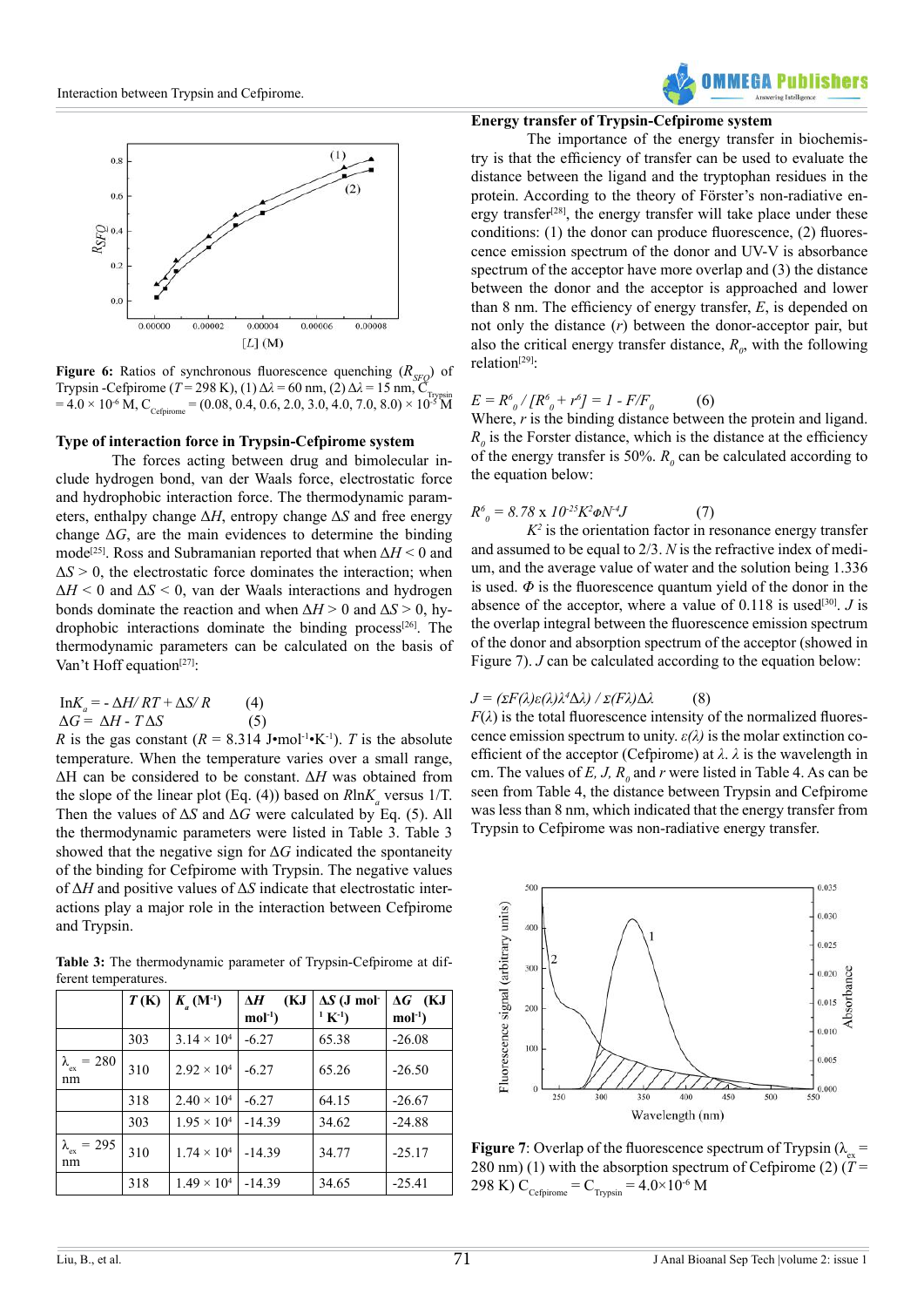

**Figure 6:** Ratios of synchronous fluorescence quenching  $(R_{\text{SFO}})$  of Trypsin -Cefpirome ( $T = 298$  K), (1)  $\Delta \lambda = 60$  nm, (2)  $\Delta \lambda = 15$  nm, C  $= 4.0 \times 10^{-6}$  M, C<sub>Cefpirome</sub> = (0.08, 0.4, 0.6, 2.0, 3.0, 4.0, 7.0, 8.0)  $\times 10^{-5}$  M

## **Type of interaction force in Trypsin-Cefpirome system**

The forces acting between drug and bimolecular include hydrogen bond, van der Waals force, electrostatic force and hydrophobic interaction force. The thermodynamic parameters, enthalpy change Δ*H*, entropy change Δ*S* and free energy change  $\Delta G$ , are the main evidences to determine the binding mode<sup>[25]</sup>. Ross and Subramanian reported that when  $\Delta H \leq 0$  and  $\Delta S > 0$ , the electrostatic force dominates the interaction; when  $\Delta H$  < 0 and  $\Delta S$  < 0, van der Waals interactions and hydrogen bonds dominate the reaction and when  $\Delta H > 0$  and  $\Delta S > 0$ , hydrophobic interactions dominate the binding process[\[26\].](#page-7-10) The thermodynamic parameters can be calculated on the basis of Van't Hoff equation<sup>[\[27\]](#page-7-11)</sup>:

$$
\text{InK}_a = -\Delta H / RT + \Delta S / R \qquad (4)
$$
  
 
$$
\Delta G = \Delta H - T \Delta S \qquad (5)
$$

*R* is the gas constant  $(R = 8.314$  J $\cdot$ mol<sup>-1</sup> $\cdot$ K<sup>-1</sup>). *T* is the absolute temperature. When the temperature varies over a small range, ΔH can be considered to be constant. Δ*H* was obtained from the slope of the linear plot (Eq. (4)) based on  $R \ln K_a$  versus 1/T. Then the values of Δ*S* and Δ*G* were calculated by Eq. (5). All the thermodynamic parameters were listed in Table 3. Table 3 showed that the negative sign for Δ*G* indicated the spontaneity of the binding for Cefpirome with Trypsin. The negative values of Δ*H* and positive values of Δ*S* indicate that electrostatic interactions play a major role in the interaction between Cefpirome and Trypsin.

Table 3: The thermodynamic parameter of Trypsin-Cefpirome at different temperatures.

|                                | T(K) | $K_{a}(\mathbf{M}^{-1})$ | (KJ<br>$\Delta H$<br>$mol-1$ | $\Delta S$ (J mol-<br>$(1 K^{-1})$ | $\Delta G$ (KJ<br>$mol-1$ |
|--------------------------------|------|--------------------------|------------------------------|------------------------------------|---------------------------|
|                                | 303  | $3.14 \times 10^{4}$     | $-6.27$                      | 65.38                              | $-26.08$                  |
| $\lambda_{\rm ex} = 280$<br>nm | 310  | $2.92 \times 10^{4}$     | $-6.27$                      | 65.26                              | $-26.50$                  |
|                                | 318  | $2.40 \times 10^{4}$     | $-6.27$                      | 64.15                              | $-26.67$                  |
|                                | 303  | $1.95 \times 10^{4}$     | $-14.39$                     | 34.62                              | $-24.88$                  |
| $\lambda_{\rm ex} = 295$<br>nm | 310  | $1.74 \times 10^{4}$     | $-14.39$                     | 34.77                              | $-25.17$                  |
|                                | 318  | $1.49 \times 10^{4}$     | $-14.39$                     | 34.65                              | $-25.41$                  |

# **Energy transfer of Trypsin-Cefpirome system**

The importance of the energy transfer in biochemistry is that the efficiency of transfer can be used to evaluate the distance between the ligand and the tryptophan residues in the protein. According to the theory of Förster's non-radiative energy transfer<sup>[28]</sup>, the energy transfer will take place under these conditions: (1) the donor can produce fluorescence, (2) fluorescence emission spectrum of the donor and UV-V is absorbance spectrum of the acceptor have more overlap and (3) the distance between the donor and the acceptor is approached and lower than 8 nm. The efficiency of energy transfer, *E*, is depended on not only the distance (*r*) between the donor-acceptor pair, but also the critical energy transfer distance,  $R_{\theta}$ , with the following relation<sup>[29]</sup>:

#### $E = R^6_{\ \ 0} / [R^6_{\ \ 0} + r^6] = 1$  - F/F<sub>0</sub> (6)

Where, *r* is the binding distance between the protein and ligand.  $R_0$  is the Forster distance, which is the distance at the efficiency of the energy transfer is 50%.  $R_0$  can be calculated according to the equation below:

$$
R_0^6 = 8.78 \times 10^{-25} K^2 \phi N^4 J \tag{7}
$$

 $K^2$  is the orientation factor in resonance energy transfer and assumed to be equal to 2/3. *N* is the refractive index of medium, and the average value of water and the solution being 1.336 is used.  $\Phi$  is the fluorescence quantum yield of the donor in the absence of the acceptor, where a value of  $0.118$  is used<sup>[\[30\]](#page-7-14)</sup>. *J* is the overlap integral between the fluorescence emission spectrum of the donor and absorption spectrum of the acceptor (showed in Figure 7). *J* can be calculated according to the equation below:

# *J = (σF(λ)ε(λ)λ<sup>4</sup>* Δ*λ) / σ(Fλ)*Δ*λ* (8)

 $F(\lambda)$  is the total fluorescence intensity of the normalized fluorescence emission spectrum to unity.  $\varepsilon(\lambda)$  is the molar extinction coefficient of the acceptor (Cefpirome) at *λ*. *λ* is the wavelength in cm. The values of *E*, *J*,  $R_0$  and *r* were listed in Table 4. As can be seen from Table 4, the distance between Trypsin and Cefpirome was less than 8 nm, which indicated that the energy transfer from Trypsin to Cefpirome was non-radiative energy transfer.



**Figure 7**: Overlap of the fluorescence spectrum of Trypsin ( $\lambda_{\text{max}}$  = 280 nm) (1) with the absorption spectrum of Cefpirome (2) ( $T =$ 298 K)  $C_{\text{Cefairome}} = C_{\text{Trvssin}} = 4.0 \times 10^{-6} \text{ M}$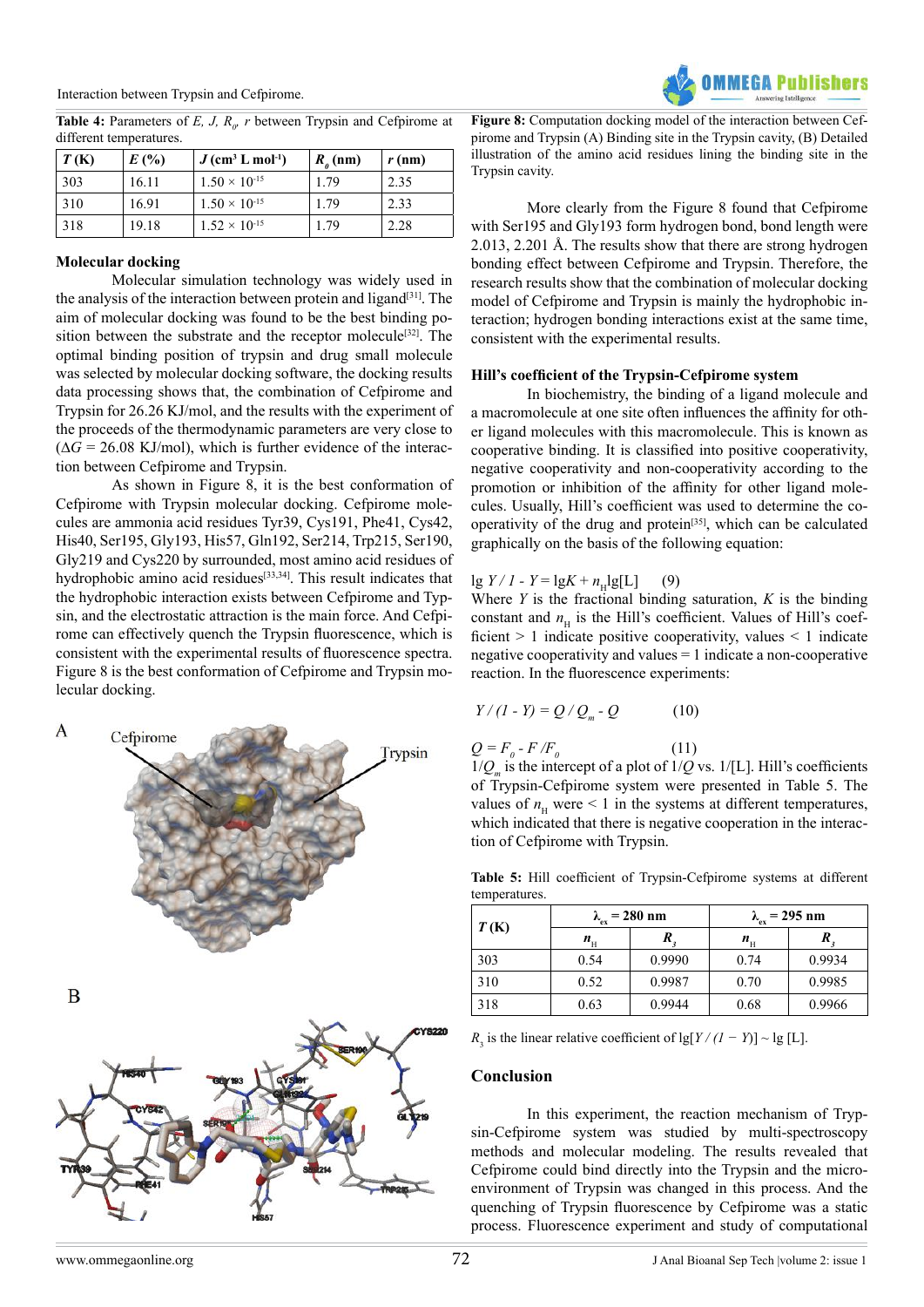

**Table 4:** Parameters of *E, J, R<sub>o</sub>*, *r* between Trypsin and Cefpirome at different temperatures.

| T(K) | E(%)  | $J$ (cm <sup>3</sup> L mol <sup>-1</sup> ) | $R_a$ (nm) | $r$ (nm) |
|------|-------|--------------------------------------------|------------|----------|
| 303  | 16.11 | $1.50 \times 10^{-15}$                     | 179        | 2.35     |
| 310  | 16.91 | $1.50 \times 10^{-15}$                     | 1.79       | 2.33     |
| 318  | 19.18 | $1.52 \times 10^{-15}$                     | 1.79       | 2.28     |

## **Molecular docking**

Molecular simulation technology was widely used in the analysis of the interaction between protein and ligand<sup>[31]</sup>. The aim of molecular docking was found to be the best binding position between the substrate and the receptor molecule<sup>[32]</sup>. The optimal binding position of trypsin and drug small molecule was selected by molecular docking software, the docking results data processing shows that, the combination of Cefpirome and Trypsin for 26.26 KJ/mol, and the results with the experiment of the proceeds of the thermodynamic parameters are very close to  $(\Delta G = 26.08 \text{ KJ/mol})$ , which is further evidence of the interaction between Cefpirome and Trypsin.

As shown in Figure 8, it is the best conformation of Cefpirome with Trypsin molecular docking. Cefpirome molecules are ammonia acid residues Tyr39, Cys191, Phe41, Cys42, His40, Ser195, Gly193, His57, Gln192, Ser214, Trp215, Ser190, Gly219 and Cys220 by surrounded, most amino acid residues of hydrophobic amino acid residues<sup>[33,34]</sup>. This result indicates that the hydrophobic interaction exists between Cefpirome and Typsin, and the electrostatic attraction is the main force. And Cefpirome can effectively quench the Trypsin fluorescence, which is consistent with the experimental results of fluorescence spectra. Figure 8 is the best conformation of Cefpirome and Trypsin molecular docking.



**Figure 8:** Computation docking model of the interaction between Cefpirome and Trypsin (A) Binding site in the Trypsin cavity, (B) Detailed illustration of the amino acid residues lining the binding site in the Trypsin cavity.

More clearly from the Figure 8 found that Cefpirome with Ser195 and Gly193 form hydrogen bond, bond length were 2.013, 2.201 Å. The results show that there are strong hydrogen bonding effect between Cefpirome and Trypsin. Therefore, the research results show that the combination of molecular docking model of Cefpirome and Trypsin is mainly the hydrophobic interaction; hydrogen bonding interactions exist at the same time, consistent with the experimental results.

## **Hill's coefficient of the Trypsin-Cefpirome system**

In biochemistry, the binding of a ligand molecule and a macromolecule at one site often influences the affinity for other ligand molecules with this macromolecule. This is known as cooperative binding. It is classified into positive cooperativity, negative cooperativity and non-cooperativity according to the promotion or inhibition of the affinity for other ligand molecules. Usually, Hill's coefficient was used to determine the cooperativity of the drug and protein $[35]$ , which can be calculated graphically on the basis of the following equation:

# $\lg Y / I - Y = \lg K + n_H \lg[L]$  (9)

Where *Y* is the fractional binding saturation, *K* is the binding constant and  $n<sub>H</sub>$  is the Hill's coefficient. Values of Hill's coefficient  $> 1$  indicate positive cooperativity, values  $< 1$  indicate negative cooperativity and values = 1 indicate a non-cooperative reaction. In the fluorescence experiments:

$$
Y/(I - Y) = Q/Q_m - Q \qquad (10)
$$

$$
Q = F_o - F/F_o \tag{11}
$$

 $1/Q_m$  is the intercept of a plot of  $1/Q$  vs.  $1/[L]$ . Hill's coefficients of Trypsin-Cefpirome system were presented in Table 5. The values of  $n<sub>H</sub>$  were  $\leq 1$  in the systems at different temperatures, which indicated that there is negative cooperation in the interaction of Cefpirome with Trypsin.

**Table 5:** Hill coefficient of Trypsin-Cefpirome systems at different temperatures.

| T(K) |             | $\lambda_{\rm ex}$ = 280 nm | $\lambda_{\rm ex}$ = 295 nm |        |  |
|------|-------------|-----------------------------|-----------------------------|--------|--|
|      | $n_{\rm H}$ |                             | $n_{\rm H}$                 |        |  |
| 303  | 0.54        | 0.9990                      | 0.74                        | 0.9934 |  |
| 310  | 0.52        | 0.9987                      | 0.70                        | 0.9985 |  |
| 318  | 0.63        | 0.9944                      | 0.68                        | 0.9966 |  |

 $R_3$  is the linear relative coefficient of lg[*Y / (1 − Y*)] ~ lg [L].

# **Conclusion**

In this experiment, the reaction mechanism of Trypsin-Cefpirome system was studied by multi-spectroscopy methods and molecular modeling. The results revealed that Cefpirome could bind directly into the Trypsin and the microenvironment of Trypsin was changed in this process. And the quenching of Trypsin fluorescence by Cefpirome was a static process. Fluorescence experiment and study of computational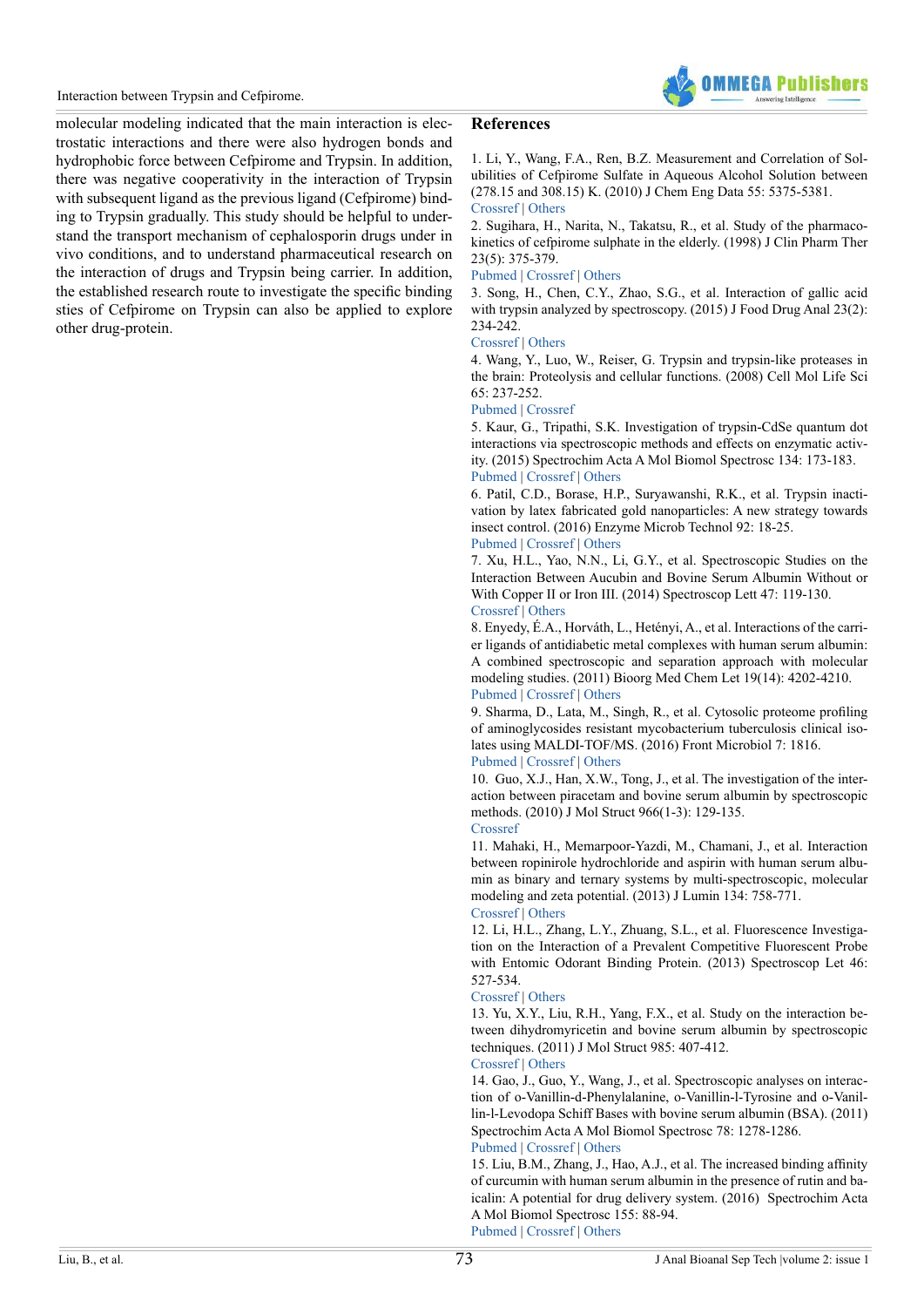

molecular modeling indicated that the main interaction is electrostatic interactions and there were also hydrogen bonds and hydrophobic force between Cefpirome and Trypsin. In addition, there was negative cooperativity in the interaction of Trypsin with subsequent ligand as the previous ligand (Cefpirome) binding to Trypsin gradually. This study should be helpful to understand the transport mechanism of cephalosporin drugs under in vivo conditions, and to understand pharmaceutical research on the interaction of drugs and Trypsin being carrier. In addition, the established research route to investigate the specific binding sties of Cefpirome on Trypsin can also be applied to explore other drug-protein.

## **References**

<span id="page-6-0"></span>1. Li, Y., Wang, F.A., Ren, B.Z. Measurement and Correlation of Solubilities of Cefpirome Sulfate in Aqueous Alcohol Solution between (278.15 and 308.15) K. (2010) J Chem Eng Data 55: 5375-5381. [Crossref](https://doi.org/10.1021/je100870x) | [Others](https://www.researchgate.net/publication/231538410_Measurement_and_Correlation_of_Solubilities_of_Cefpirome_Sulfate_in_Aqueous_Alcohol_Solution_between_27815_and_30815_K)

<span id="page-6-1"></span>2. Sugihara, H., Narita, N., Takatsu, R., et al. Study of the pharmacokinetics of cefpirome sulphate in the elderly. (1998) J Clin Pharm Ther 23(5): 375-379.

#### [Pubmed](https://www.ncbi.nlm.nih.gov/pubmed/9875686) | [Crossref](https://doi.org/10.1046/j.1365-2710.1998.00176.x) | [Others](https://www.researchgate.net/publication/13412177_Study_of_the_pharmacokinetics_of_cefpirome_sulphate_in_the_elderly)

<span id="page-6-2"></span>3. Song, H., Chen, C.Y., Zhao, S.G., et al. Interaction of gallic acid with trypsin analyzed by spectroscopy. (2015) J Food Drug Anal 23(2): 234-242.

#### [Crossref](https://doi.org/10.1016/j.jfda.2014.09.001) | [Others](http://www.sciencedirect.com/science/article/pii/S1021949814001409)

<span id="page-6-3"></span>4. Wang, Y., Luo, W., Reiser, G. Trypsin and trypsin-like proteases in the brain: Proteolysis and cellular functions. (2008) Cell Mol Life Sci 65: 237-252.

## [Pubmed](https://www.ncbi.nlm.nih.gov/pubmed/17965832) | [Crossref](https://doi.org/10.1007/s00018-007-7288-3)

<span id="page-6-4"></span>5. Kaur, G., Tripathi, S.K. Investigation of trypsin-CdSe quantum dot interactions via spectroscopic methods and effects on enzymatic activity. (2015) Spectrochim Acta A Mol Biomol Spectrosc 134: 173-183. [Pubmed](https://www.ncbi.nlm.nih.gov/pubmed/25011044) | [Crossref](https://doi.org/10.1016/j.saa.2014.05.064) | [Others](http://www.sciencedirect.com/science/article/pii/S1386142514008555)

<span id="page-6-5"></span>6. Patil, C.D., Borase, H.P., Suryawanshi, R.K., et al. Trypsin inactivation by latex fabricated gold nanoparticles: A new strategy towards insect control. (2016) Enzyme Microb Technol 92: 18-25. [Pubmed](https://www.ncbi.nlm.nih.gov/pubmed/27542740) | [Crossref](https://doi.org/10.1016/j.enzmictec.2016.06.005) | [Others](https://www.researchgate.net/publication/303980119_Trypsin_inactivation_by_latex_fabricated_gold_nanoparticles_A_new_strategy_towards_insect_control)

<span id="page-6-6"></span>7. Xu, H.L., Yao, N.N., Li, G.Y., et al. Spectroscopic Studies on the Interaction Between Aucubin and Bovine Serum Albumin Without or With Copper II or Iron III. (2014) Spectroscop Lett 47: 119-130. [Crossref](https://doi.org/10.1080/00387010.2013.787631) | [Others](https://www.researchgate.net/publication/261013887_Spectroscopic_Studies_on_the_Interaction_Between_Aucubin_and_Bovine_Serum_Albumin_Without_or_With_Copper_II_or_Iron_III)

<span id="page-6-7"></span>8. Enyedy, É.A., Horváth, L., Hetényi, A., et al. Interactions of the carrier ligands of antidiabetic metal complexes with human serum albumin: A combined spectroscopic and separation approach with molecular modeling studies. (2011) Bioorg Med Chem Let 19(14): 4202-4210. [Pubmed](https://www.ncbi.nlm.nih.gov/pubmed/21696966) | [Crossref](https://doi.org/10.1016/j.bmc.2011.05.063) | [Others](http://agris.fao.org/agris-search/search.do?recordID=US201500109616)

9. Sharma, D., Lata, M., Singh, R., et al. Cytosolic proteome profiling of aminoglycosides resistant mycobacterium tuberculosis clinical isolates using MALDI-TOF/MS. (2016) Front Microbiol 7: 1816.

#### [Pubmed](https://www.ncbi.nlm.nih.gov/pubmed/27895634) | [Crossref](https://doi.org/10.3389/fmicb.2016.01816) | [Others](https://www.semanticscholar.org/paper/Cytosolic-Proteome-Profiling-of-Aminoglycosides-Sharma-Lata/bd9d43c2e559a9bbb78016bb3f7049d091394fa5)

<span id="page-6-8"></span>10. Guo, X.J., Han, X.W., Tong, J., et al. The investigation of the interaction between piracetam and bovine serum albumin by spectroscopic methods. (2010) J Mol Struct 966(1-3): 129-135. [Crossref](https://doi.org/10.1016/j.molstruc.2009.12.025)

<span id="page-6-9"></span>11. Mahaki, H., Memarpoor-Yazdi, M., Chamani, J., et al. Interaction between ropinirole hydrochloride and aspirin with human serum albumin as binary and ternary systems by multi-spectroscopic, molecular modeling and zeta potential. (2013) J Lumin 134: 758-771. [Crossref](https://doi.org/10.1016/j.jlumin.2012.06.051) | [Others](https://www.researchgate.net/publication/258797359_Interaction_between_ropinirole_hydrochloride_and_aspirin_with_human_serum_albumin_as_binary_and_ternary_systems_by_multi-spectroscopic_molecular_modeling_and_zeta_potential)

<span id="page-6-10"></span>12. Li, H.L., Zhang, L.Y., Zhuang, S.L., et al. Fluorescence Investigation on the Interaction of a Prevalent Competitive Fluorescent Probe with Entomic Odorant Binding Protein. (2013) Spectroscop Let 46: 527-534.

#### [Crossref](https://doi.org/10.1080/00387010.2013.763830) | [Others](http://www.tandfonline.com/doi/abs/10.1080/00387010.2013.763830)

<span id="page-6-11"></span>13. Yu, X.Y., Liu, R.H., Yang, F.X., et al. Study on the interaction between dihydromyricetin and bovine serum albumin by spectroscopic techniques. (2011) J Mol Struct 985: 407-412.

#### [Crossref](https://doi.org/10.1016/j.molstruc.2010.11.034) | [Others](https://www.researchgate.net/publication/256770310_Study_on_the_interaction_between_dihydromyricetin_and_bovine_serum_albumin_by_spectroscopic_techniques)

<span id="page-6-12"></span>14. Gao, J., Guo, Y., Wang, J., et al. Spectroscopic analyses on interaction of o-Vanillin-d-Phenylalanine, o-Vanillin-l-Tyrosine and o-Vanillin-l-Levodopa Schiff Bases with bovine serum albumin (BSA). (2011) Spectrochim Acta A Mol Biomol Spectrosc 78: 1278-1286.

## [Pubmed](https://www.ncbi.nlm.nih.gov/pubmed/21295513) | [Crossref](https://doi.org/10.1016/j.saa.2010.12.077) | [Others](http://www.sciencedirect.com/science/article/pii/S138614251000702X)

<span id="page-6-13"></span>15. Liu, B.M., Zhang, J., Hao, A.J., et al. The increased binding affinity of curcumin with human serum albumin in the presence of rutin and baicalin: A potential for drug delivery system. (2016) Spectrochim Acta A Mol Biomol Spectrosc 155: 88-94. [Pubmed](https://www.ncbi.nlm.nih.gov/pubmed/26583522) [| Crossref](https://doi.org/10.1016/j.saa.2015.11.010) | [Others](http://www.sciencedirect.com/science/article/pii/S1386142515303000)